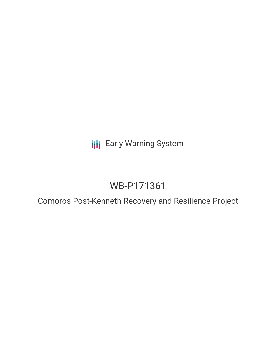**III** Early Warning System

# WB-P171361

Comoros Post-Kenneth Recovery and Resilience Project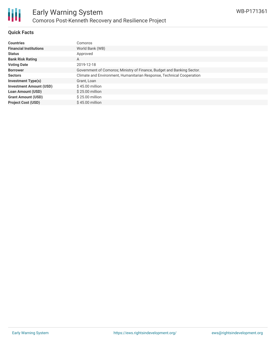

## **Quick Facts**

| <b>Countries</b>               | Comoros                                                                |
|--------------------------------|------------------------------------------------------------------------|
| <b>Financial Institutions</b>  | World Bank (WB)                                                        |
| <b>Status</b>                  | Approved                                                               |
| <b>Bank Risk Rating</b>        | A                                                                      |
| <b>Voting Date</b>             | 2019-12-18                                                             |
| <b>Borrower</b>                | Government of Comoros; Ministry of Finance, Budget and Banking Sector. |
| <b>Sectors</b>                 | Climate and Environment, Humanitarian Response, Technical Cooperation  |
| <b>Investment Type(s)</b>      | Grant, Loan                                                            |
| <b>Investment Amount (USD)</b> | $$45.00$ million                                                       |
| <b>Loan Amount (USD)</b>       | \$25,00 million                                                        |
| <b>Grant Amount (USD)</b>      | \$25,00 million                                                        |
| <b>Project Cost (USD)</b>      | $$45.00$ million                                                       |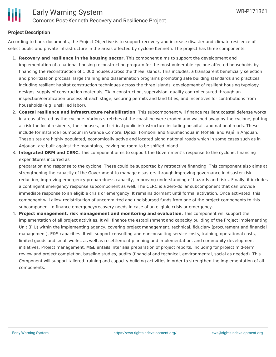# **Project Description**

According to bank documents, the Project Objective is to support recovery and increase disaster and climate resilience of select public and private infrastructure in the areas affected by cyclone Kenneth. The project has three components:

- 1. **Recovery and resilience in the housing sector.** This component aims to support the development and implementation of a national housing reconstruction program for the most vulnerable cyclone affected households by financing the reconstruction of 1,000 houses across the three islands. This includes: a transparent beneficiary selection and prioritization process; large training and dissemination programs promoting safe building standards and practices including resilient habitat construction techniques across the three islands, development of resilient housing typology designs, supply of construction materials, TA in construction, supervision, quality control ensured through an inspection/certification process at each stage, securing permits and land titles, and incentives for contributions from households (e.g. unskilled labor).
- 2. **Coastal resilience and infrastructure rehabilitation.** This subcomponent will finance resilient coastal defense works in areas affected by the cyclone. Various stretches of the coastline were eroded and washed away by the cyclone, putting at risk the local residents, their houses, and critical public infrastructure including hospitals and national roads. These include for instance Foumbouni in Grande Comore; Djoezi, Fomboni and Nioumachoua in Mohéli; and Pajé in Anjouan. These sites are highly populated, economically active and located along national roads which in some cases such as in Anjouan, are built against the mountains, leaving no room to be shifted inland.
- 3. **Integrated DRM and CERC.** This component aims to support the Government's response to the cyclone, financing expenditures incurred as

preparation and response to the cyclone. These could be supported by retroactive financing. This component also aims at strengthening the capacity of the Government to manage disasters through improving governance in disaster risk reduction, improving emergency preparedness capacity, improving understanding of hazards and risks. Finally, it includes a contingent emergency response subcomponent as well. The CERC is a zero-dollar subcomponent that can provide immediate response to an eligible crisis or emergency. It remains dormant until formal activation. Once activated, this component will allow redistribution of uncommitted and undisbursed funds from one of the project components to this subcomponent to finance emergency/recovery needs in case of an eligible crisis or emergency.

4. **Project management, risk management and monitoring and evaluation.** This component will support the implementation of all project activities. It will finance the establishment and capacity building of the Project Implementing Unit (PIU) within the implementing agency, covering project management, technical, fiduciary (procurement and financial management), E&S capacities. It will support consulting and nonconsulting service costs, training, operational costs, limited goods and small works, as well as resettlement planning and implementation, and community development initiatives. Project management, M&E entails inter alia preparation of project reports, including for project mid-term review and project completion, baseline studies, audits (financial and technical, environmental, social as needed). This Component will support tailored training and capacity building activities in order to strengthen the implementation of all components.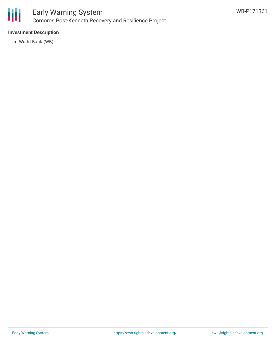

# **Investment Description**

World Bank (WB)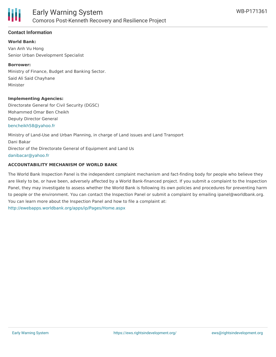

## **Contact Information**

**World Bank:** Van Anh Vu Hong Senior Urban Development Specialist

#### **Borrower:**

Ministry of Finance, Budget and Banking Sector. Said Ali Said Chayhane Minister

#### **Implementing Agencies:**

Directorate General for Civil Security (DGSC) Mohammed Omar Ben Cheikh Deputy Director General [bencheikh58@yahoo.fr](mailto:bencheikh58@yahoo.fr)

Ministry of Land-Use and Urban Planning, in charge of Land issues and Land Transport Dani Bakar Director of the Directorate General of Equipment and Land Us [danibacar@yahoo.fr](mailto:danibacar@yahoo.fr)

### **ACCOUNTABILITY MECHANISM OF WORLD BANK**

The World Bank Inspection Panel is the independent complaint mechanism and fact-finding body for people who believe they are likely to be, or have been, adversely affected by a World Bank-financed project. If you submit a complaint to the Inspection Panel, they may investigate to assess whether the World Bank is following its own policies and procedures for preventing harm to people or the environment. You can contact the Inspection Panel or submit a complaint by emailing ipanel@worldbank.org. You can learn more about the Inspection Panel and how to file a complaint at: <http://ewebapps.worldbank.org/apps/ip/Pages/Home.aspx>